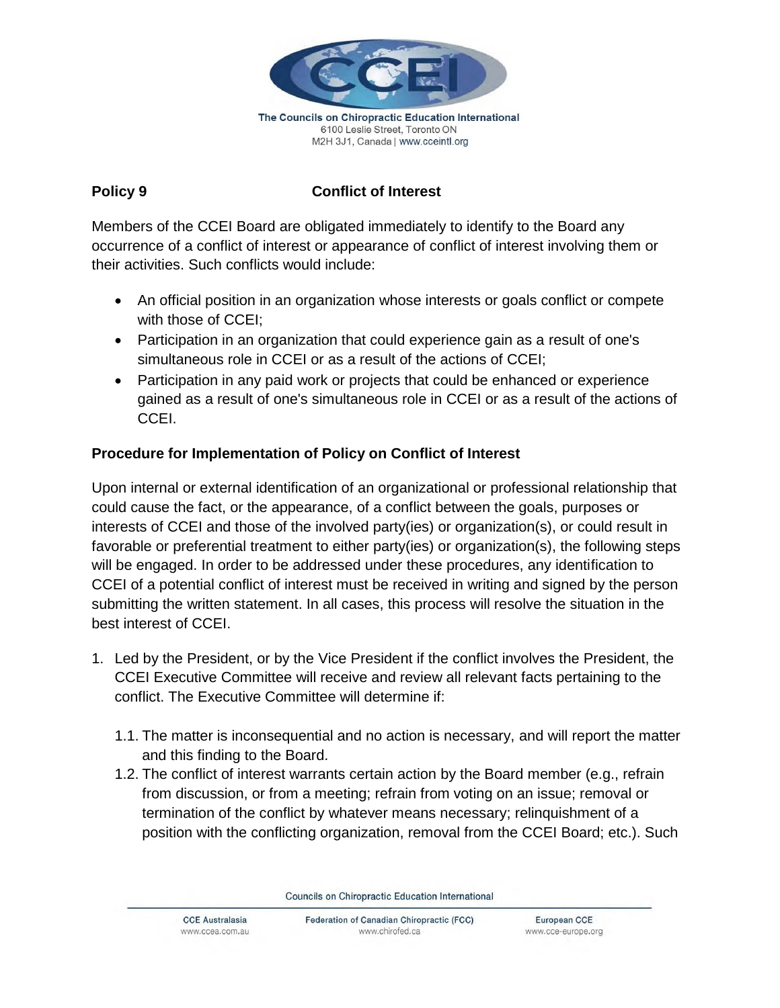

6100 Leslie Street, Toronto ON M2H 3J1, Canada | www.cceintl.org

# **Policy 9 Conflict of Interest**

Members of the CCEI Board are obligated immediately to identify to the Board any occurrence of a conflict of interest or appearance of conflict of interest involving them or their activities. Such conflicts would include:

- An official position in an organization whose interests or goals conflict or compete with those of CCEI;
- Participation in an organization that could experience gain as a result of one's simultaneous role in CCEI or as a result of the actions of CCEI;
- Participation in any paid work or projects that could be enhanced or experience gained as a result of one's simultaneous role in CCEI or as a result of the actions of CCEI.

## **Procedure for Implementation of Policy on Conflict of Interest**

Upon internal or external identification of an organizational or professional relationship that could cause the fact, or the appearance, of a conflict between the goals, purposes or interests of CCEI and those of the involved party(ies) or organization(s), or could result in favorable or preferential treatment to either party(ies) or organization(s), the following steps will be engaged. In order to be addressed under these procedures, any identification to CCEI of a potential conflict of interest must be received in writing and signed by the person submitting the written statement. In all cases, this process will resolve the situation in the best interest of CCEI.

- 1. Led by the President, or by the Vice President if the conflict involves the President, the CCEI Executive Committee will receive and review all relevant facts pertaining to the conflict. The Executive Committee will determine if:
	- 1.1. The matter is inconsequential and no action is necessary, and will report the matter and this finding to the Board.
	- 1.2. The conflict of interest warrants certain action by the Board member (e.g., refrain from discussion, or from a meeting; refrain from voting on an issue; removal or termination of the conflict by whatever means necessary; relinquishment of a position with the conflicting organization, removal from the CCEI Board; etc.). Such

Councils on Chiropractic Education International